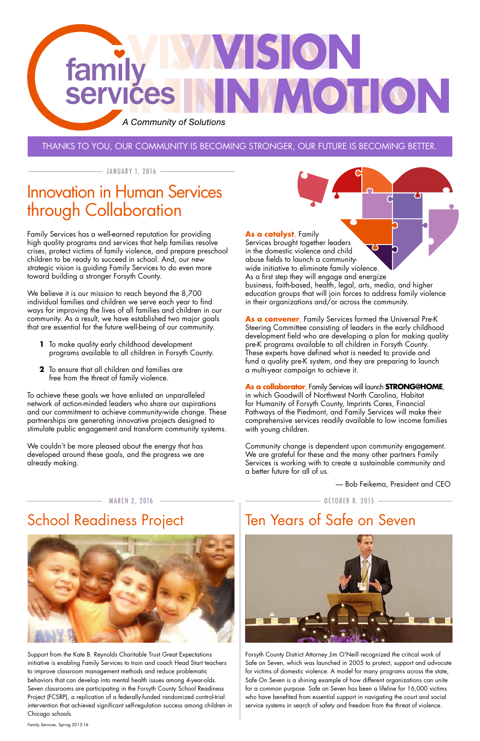## ISON family OTION **Services** A Community of Solutions

#### Thanks to you, our community is becoming stronger, our future is becoming better.

 $-$  JANUARY 1, 2016  $-$ 

Family Services has a well-earned reputation for providing high quality programs and services that help families resolve crises, protect victims of family violence, and prepare preschool children to be ready to succeed in school. And, our new strategic vision is guiding Family Services to do even more toward building a stronger Forsyth County.

We believe it is our mission to reach beyond the 8,700 individual families and children we serve each year to find ways for improving the lives of all families and children in our community. As a result, we have established two major goals that are essential for the future well-being of our community.

- **1** To make quality early childhood development programs available to all children in Forsyth County.
- **2** To ensure that all children and families are free from the threat of family violence.

To achieve these goals we have enlisted an unparalleled network of action-minded leaders who share our aspirations and our commitment to achieve community-wide change. These partnerships are generating innovative projects designed to stimulate public engagement and transform community systems.

We couldn't be more pleased about the energy that has developed around these goals, and the progress we are already making.

March 2, 2016 October 8, 2015

School Readiness Project

Forsyth County District Attorney Jim O'Neill recognized the critical work of Safe on Seven, which was launched in 2005 to protect, support and advocate for victims of domestic violence. A model for many programs across the state, Safe On Seven is a shining example of how different organizations can unite for a common purpose. Safe on Seven has been a lifeline for 16,000 victims who have benefited from essential support in navigating the court and social service systems in search of safety and freedom from the threat of violence.

Support from the Kate B. Reynolds Charitable Trust Great Expectations initiative is enabling Family Services to train and coach Head Start teachers to improve classroom management methods and reduce problematic behaviors that can develop into mental health issues among 4-year-olds. Seven classrooms are participating in the Forsyth County School Readiness Project (FCSRP), a replication of a federally-funded randomized control-trial intervention that achieved significant self-regulation success among children in Chicago schools.



Family Services, Spring 2015-16

#### **As a catalyst**, Family

Services brought together leaders in the domestic violence and child abuse fields to launch a communitywide initiative to eliminate family violence. As a first step they will engage and energize business, faith-based, health, legal, arts, media, and higher education groups that will join forces to address family violence in their organizations and/or across the community.

**As a convener**, Family Services formed the Universal Pre-K Steering Committee consisting of leaders in the early childhood development field who are developing a plan for making quality pre-K programs available to all children in Forsyth County. These experts have defined what is needed to provide and fund a quality pre-K system, and they are preparing to launch a multi-year campaign to achieve it.

**As a collaborator**, Family Services will launch **STRONG@HOME**, in which Goodwill of Northwest North Carolina, Habitat for Humanity of Forsyth County, Imprints Cares, Financial Pathways of the Piedmont, and Family Services will make their comprehensive services readily available to low income families with young children.

Community change is dependent upon community engagement. We are grateful for these and the many other partners Family Services is working with to create a sustainable community and a better future for all of us.

## Innovation in Human Services through Collaboration

## Ten Years of Safe on Seven



— Bob Feikema, President and CEO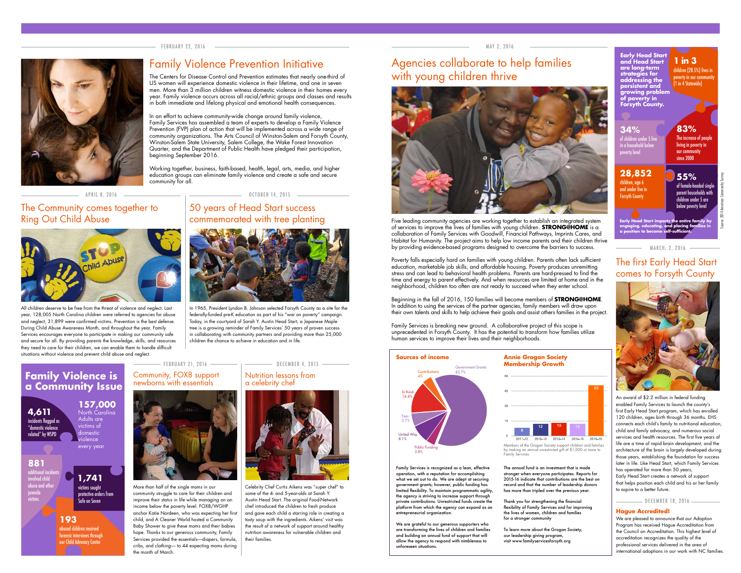### 50 years of Head Start success commemorated with tree planting



#### The Community comes together to Ring Out Child Abuse



#### February 22, 2016



## Family Violence Prevention Initiative

#### May 2, 2016



## Agencies collaborate to help families with young children thrive



March, 2, 2016

## The first Early Head Start comes to Forsyth County

#### Community, FOX8 support newborns with essentials



## Nutrition lessons from

a celebrity chef



More than half of the single moms in our community struggle to care for their children and improve their status in life while managing on an income below the poverty level. FOX8/WGHP anchor Katie Nordeen, who was expecting her first child, and A Cleaner World hosted a Community Baby Shower to give these moms and their babies hope. Thanks to our generous community, Family Services provided the essentials—diapers, formula, cribs, and clothing— to 44 expecting moms during the month of March.

All children deserve to be free from the threat of violence and neglect. Last year, 128,005 North Carolina children were referred to agencies for abuse and neglect; 31,899 were confirmed victims. Prevention is the best defense. During Child Abuse Awareness Month, and throughout the year, Family Services encourages everyone to participate in making our community safe and secure for all. By providing parents the knowledge, skills, and resources they need to care for their children, we can enable them to handle difficult situations without violence and prevent child abuse and neglect.

APRIL 8, 2016 **CHARGE CONSTRANS CONTRACT CONTRACT CONTRACT CONTRACT CONTRACT CONTROL** 

Five leading community agencies are working together to establish an integrated system of services to improve the lives of families with young children. **STRONG@HOME** is a collaboration of Family Services with Goodwill, Financial Pathways, Imprints Cares, and Habitat for Humanity. The project aims to help low income parents and their children thrive by providing evidence-based programs designed to overcome the barriers to success.

In 1965, President Lyndon B. Johnson selected Forsyth County as a site for the federally-funded pre-K education as part of his "war on poverty" campaign. Today, in the courtyard of Sarah Y. Austin Head Start, a Japanese Maple tree is a growing reminder of Family Services' 50 years of proven success in collaborating with community partners and providing more than 25,000 children the chance to achieve in education and in life.

> Celebrity Chef Curtis Aikens was "super chef" to some of the 4- and 5-year-olds at Sarah Y. Austin Head Start. The original Food-Network chef introduced the children to fresh produce and gave each child a starring role in creating a tasty soup with the ingredients. Aikens' visit was the result of a network of support around healthy nutrition awareness for vulnerable children and their families.

An award of \$2.2 million in federal funding enabled Family Services to launch the county's first Early Head Start program, which has enrolled 120 children, ages birth through 36 months. EHS connects each child's family to nutritional education, child and family advocacy, and numerous social services and health resources. The first five years of life are a time of rapid brain development, and the architecture of the brain is largely developed during those years, establishing the foundation for success later in life. Like Head Start, which Family Services has operated for more than 50 years, Early Head Start creates a network of support that helps position each child and his or her family to aspire to a better future.

DECEMBER 18, 2016 -----

#### **157,000** North Carolina Adults are victims of domestic iolence

Poverty falls especially hard on families with young children. Parents often lack sufficient education, marketable job skills, and affordable housing. Poverty produces unremitting stress and can lead to behavioral health problems. Parents are hard-pressed to find the time and energy to parent effectively. And when resources are limited at home and in the neighborhood, children too often are not ready to succeed when they enter school.

of female-headed single parent households with children under 5 are below poverty level

Beginning in the fall of 2016, 150 families will become members of **STRONG@HOME**. In addition to using the services of the partner agencies, family members will draw upon their own talents and skills to help achieve their goals and assist others families in the project.

Family Services is breaking new ground. A collaborative project of this scope is unprecedented in Forsyth County. It has the potential to transform how families utilize human services to improve their lives and their neighborhoods.

The Centers for Disease Control and Prevention estimates that nearly one-third of US women will experience domestic violence in their lifetime, and one in seven men. More than 3 million children witness domestic violence in their homes every year. Family violence occurs across all racial/ethnic groups and classes and results in both immediate and lifelong physical and emotional health consequences.

In an effort to achieve community-wide change around family violence, Family Services has assembled a team of experts to develop a Family Violence Prevention (FVP) plan of action that will be implemented across a wide range of community organizations. The Arts Council of Winston-Salem and Forsyth County, Winston-Salem State University, Salem College, the Wake Forest Innovation Quarter, and the Department of Public Health have pledged their participation, beginning September 2016.

Working together, business, faith-based, health, legal, arts, media, and higher education groups can eliminate family violence and create a safe and secure community for all.

#### **Hague Accredited!**

We are pleased to announce that our Adoption Program has received Hague Accreditation from the Council on Accreditation. This highest level of accreditation recognizes the quality of the professional services delivered in the area of



every year

#### **Family Violence is a Community Issue**

Family Services is recognized as a lean, effective operation, with a reputation for accomplishing what we set out to do. We are adept at securing government grants; however, public funding has limited flexibility. To maintain programmatic agility, the agency is striving to increase support through private contributions. Unrestricted funds create the platform from which the agency can expand as an entrepreneurial organization.

We are grateful to our generous supporters who are transforming the lives of children and families and building an annual fund of support that will allow the agency to respond with nimbleness to unforeseen situations.

Members of the Grogan Society support children and families by making an annual unrestricted gift of \$1,000 or more to Family Services.

The annual fund is an investment that is made stronger when everyone participates. Reports for 2015-16 indicate that contributions are the best on record and that the number of leadership donors has more than tripled over the previous year.

Thank you for strengthening the financial flexibility of Family Services and for improving the lives of women, children and families for a stronger community

To learn more about the Grogan Society, our leadership giving program, visit www.familyservicesforsyth.org

#### **4,611** incidents flagged as "domestic violence

related" by WSPD

**881** additional incidents involved child

abuse and other juvenile victims

## **1,741**

victims sought protective orders from Safe on Seven

**193** abused children received forensic interviews through our Child Advocacy Center

#### February 21, 2016

#### **1 in 3**

children (28.5%) lives in poverty in our communit (1 in 4 Statewide)

**Early Head Start and Head Start are long-term strategies for addressing the persistent and growing problem of poverty in Forsyth County.**

children, age 6 and under live in Forsyth County

#### **34% 28,852** of children under 5 live in a household below overty level **83%** The increase of people living in poverty in our community since 2000

# **55%**

**Early Head Start impacts the entire family by engaging, educating, and placing families in a position to become self-sufficient.**





# **Sources of income <b>Annie Grogan Society Annie Grogan Membership Growth** 2011-12 2012-13 2013-14 2014-15 2015-16